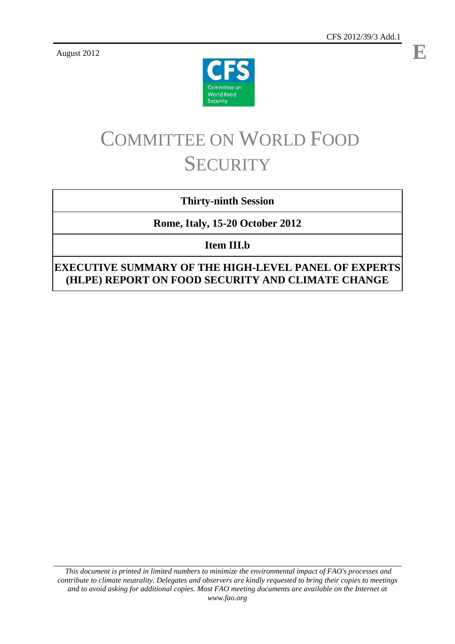**E**

August 2012



# COMMITTEE ON WORLD FOOD **SECURITY**

# **Thirty-ninth Session**

# **Rome, Italy, 15-20 October 2012**

**Item III.b**

**EXECUTIVE SUMMARY OF THE HIGH-LEVEL PANEL OF EXPERTS (HLPE) REPORT ON FOOD SECURITY AND CLIMATE CHANGE**

*This document is printed in limited numbers to minimize the environmental impact of FAO's processes and contribute to climate neutrality. Delegates and observers are kindly requested to bring their copies to meetings and to avoid asking for additional copies. Most FAO meeting documents are available on the Internet at www.fao.org*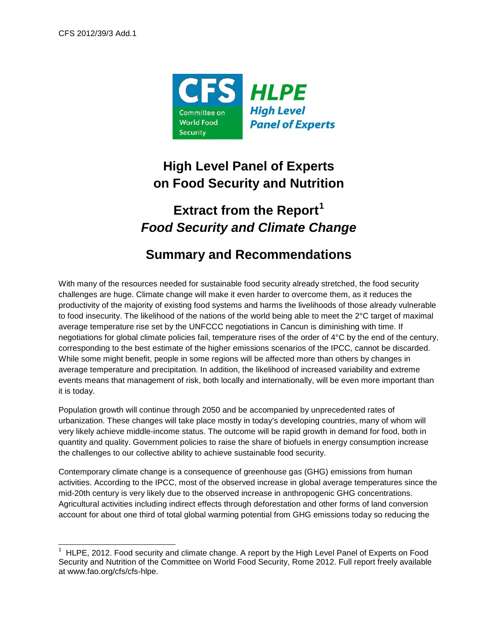

# **High Level Panel of Experts on Food Security and Nutrition**

# **Extract from the Report[1](#page-1-0)** *Food Security and Climate Change*

# **Summary and Recommendations**

With many of the resources needed for sustainable food security already stretched, the food security challenges are huge. Climate change will make it even harder to overcome them, as it reduces the productivity of the majority of existing food systems and harms the livelihoods of those already vulnerable to food insecurity. The likelihood of the nations of the world being able to meet the 2°C target of maximal average temperature rise set by the UNFCCC negotiations in Cancun is diminishing with time. If negotiations for global climate policies fail, temperature rises of the order of 4°C by the end of the century, corresponding to the best estimate of the higher emissions scenarios of the IPCC, cannot be discarded. While some might benefit, people in some regions will be affected more than others by changes in average temperature and precipitation. In addition, the likelihood of increased variability and extreme events means that management of risk, both locally and internationally, will be even more important than it is today.

Population growth will continue through 2050 and be accompanied by unprecedented rates of urbanization. These changes will take place mostly in today's developing countries, many of whom will very likely achieve middle-income status. The outcome will be rapid growth in demand for food, both in quantity and quality. Government policies to raise the share of biofuels in energy consumption increase the challenges to our collective ability to achieve sustainable food security.

Contemporary climate change is a consequence of greenhouse gas (GHG) emissions from human activities. According to the IPCC, most of the observed increase in global average temperatures since the mid-20th century is very likely due to the observed increase in anthropogenic GHG concentrations. Agricultural activities including indirect effects through deforestation and other forms of land conversion account for about one third of total global warming potential from GHG emissions today so reducing the

<span id="page-1-1"></span><span id="page-1-0"></span> <sup>1</sup> HLPE, 2012. Food security and climate change. A report by the High Level Panel of Experts on Food Security and Nutrition of the Committee on World Food Security, Rome 2012. Full report freely available at www.fao.org/cfs/cfs-hlpe.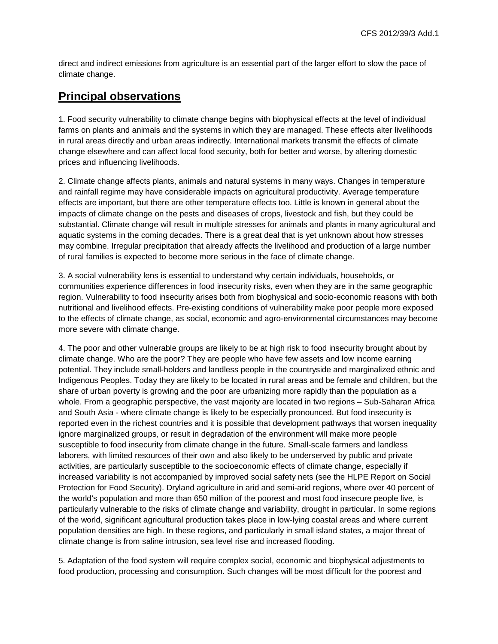direct and indirect emissions from agriculture is an essential part of the larger effort to slow the pace of climate change.

# **Principal observations**

1. Food security vulnerability to climate change begins with biophysical effects at the level of individual farms on plants and animals and the systems in which they are managed. These effects alter livelihoods in rural areas directly and urban areas indirectly. International markets transmit the effects of climate change elsewhere and can affect local food security, both for better and worse, by altering domestic prices and influencing livelihoods.

2. Climate change affects plants, animals and natural systems in many ways. Changes in temperature and rainfall regime may have considerable impacts on agricultural productivity. Average temperature effects are important, but there are other temperature effects too. Little is known in general about the impacts of climate change on the pests and diseases of crops, livestock and fish, but they could be substantial. Climate change will result in multiple stresses for animals and plants in many agricultural and aquatic systems in the coming decades. There is a great deal that is yet unknown about how stresses may combine. Irregular precipitation that already affects the livelihood and production of a large number of rural families is expected to become more serious in the face of climate change.

3. A social vulnerability lens is essential to understand why certain individuals, households, or communities experience differences in food insecurity risks, even when they are in the same geographic region. Vulnerability to food insecurity arises both from biophysical and socio-economic reasons with both nutritional and livelihood effects. Pre-existing conditions of vulnerability make poor people more exposed to the effects of climate change, as social, economic and agro-environmental circumstances may become more severe with climate change.

4. The poor and other vulnerable groups are likely to be at high risk to food insecurity brought about by climate change. Who are the poor? They are people who have few assets and low income earning potential. They include small-holders and landless people in the countryside and marginalized ethnic and Indigenous Peoples. Today they are likely to be located in rural areas and be female and children, but the share of urban poverty is growing and the poor are urbanizing more rapidly than the population as a whole. From a geographic perspective, the vast majority are located in two regions – Sub-Saharan Africa and South Asia - where climate change is likely to be especially pronounced. But food insecurity is reported even in the richest countries and it is possible that development pathways that worsen inequality ignore marginalized groups, or result in degradation of the environment will make more people susceptible to food insecurity from climate change in the future. Small-scale farmers and landless laborers, with limited resources of their own and also likely to be underserved by public and private activities, are particularly susceptible to the socioeconomic effects of climate change, especially if increased variability is not accompanied by improved social safety nets (see the HLPE Report on Social Protection for Food Security). Dryland agriculture in arid and semi-arid regions, where over 40 percent of the world's population and more than 650 million of the poorest and most food insecure people live, is particularly vulnerable to the risks of climate change and variability, drought in particular. In some regions of the world, significant agricultural production takes place in low-lying coastal areas and where current population densities are high. In these regions, and particularly in small island states, a major threat of climate change is from saline intrusion, sea level rise and increased flooding.

5. Adaptation of the food system will require complex social, economic and biophysical adjustments to food production, processing and consumption. Such changes will be most difficult for the poorest and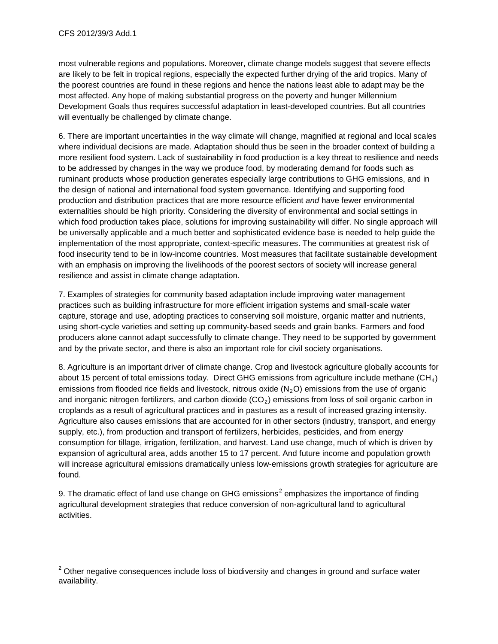most vulnerable regions and populations. Moreover, climate change models suggest that severe effects are likely to be felt in tropical regions, especially the expected further drying of the arid tropics. Many of the poorest countries are found in these regions and hence the nations least able to adapt may be the most affected. Any hope of making substantial progress on the poverty and hunger Millennium Development Goals thus requires successful adaptation in least-developed countries. But all countries will eventually be challenged by climate change.

6. There are important uncertainties in the way climate will change, magnified at regional and local scales where individual decisions are made. Adaptation should thus be seen in the broader context of building a more resilient food system. Lack of sustainability in food production is a key threat to resilience and needs to be addressed by changes in the way we produce food, by moderating demand for foods such as ruminant products whose production generates especially large contributions to GHG emissions, and in the design of national and international food system governance. Identifying and supporting food production and distribution practices that are more resource efficient *and* have fewer environmental externalities should be high priority. Considering the diversity of environmental and social settings in which food production takes place, solutions for improving sustainability will differ. No single approach will be universally applicable and a much better and sophisticated evidence base is needed to help guide the implementation of the most appropriate, context-specific measures. The communities at greatest risk of food insecurity tend to be in low-income countries. Most measures that facilitate sustainable development with an emphasis on improving the livelihoods of the poorest sectors of society will increase general resilience and assist in climate change adaptation.

7. Examples of strategies for community based adaptation include improving water management practices such as building infrastructure for more efficient irrigation systems and small-scale water capture, storage and use, adopting practices to conserving soil moisture, organic matter and nutrients, using short-cycle varieties and setting up community-based seeds and grain banks. Farmers and food producers alone cannot adapt successfully to climate change. They need to be supported by government and by the private sector, and there is also an important role for civil society organisations.

8. Agriculture is an important driver of climate change. Crop and livestock agriculture globally accounts for about 15 percent of total emissions today. Direct GHG emissions from agriculture include methane  $(CH_4)$ emissions from flooded rice fields and livestock, nitrous oxide  $(N<sub>2</sub>O)$  emissions from the use of organic and inorganic nitrogen fertilizers, and carbon dioxide  $(CO<sub>2</sub>)$  emissions from loss of soil organic carbon in croplands as a result of agricultural practices and in pastures as a result of increased grazing intensity. Agriculture also causes emissions that are accounted for in other sectors (industry, transport, and energy supply, etc.), from production and transport of fertilizers, herbicides, pesticides, and from energy consumption for tillage, irrigation, fertilization, and harvest. Land use change, much of which is driven by expansion of agricultural area, adds another 15 to 17 percent. And future income and population growth will increase agricultural emissions dramatically unless low-emissions growth strategies for agriculture are found.

9. The dramatic effect of land use change on GHG emissions<sup>[2](#page-1-1)</sup> emphasizes the importance of finding agricultural development strategies that reduce conversion of non-agricultural land to agricultural activities.

 $2$  Other negative consequences include loss of biodiversity and changes in ground and surface water availability.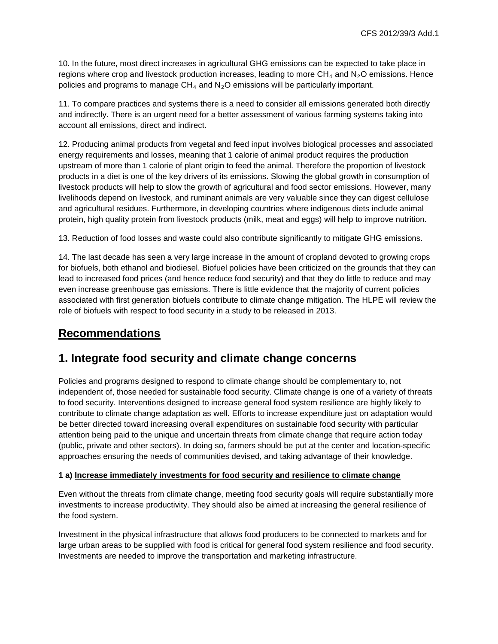10. In the future, most direct increases in agricultural GHG emissions can be expected to take place in regions where crop and livestock production increases, leading to more  $CH_4$  and  $N_2O$  emissions. Hence policies and programs to manage  $CH_4$  and  $N_2O$  emissions will be particularly important.

11. To compare practices and systems there is a need to consider all emissions generated both directly and indirectly. There is an urgent need for a better assessment of various farming systems taking into account all emissions, direct and indirect.

12. Producing animal products from vegetal and feed input involves biological processes and associated energy requirements and losses, meaning that 1 calorie of animal product requires the production upstream of more than 1 calorie of plant origin to feed the animal. Therefore the proportion of livestock products in a diet is one of the key drivers of its emissions. Slowing the global growth in consumption of livestock products will help to slow the growth of agricultural and food sector emissions. However, many livelihoods depend on livestock, and ruminant animals are very valuable since they can digest cellulose and agricultural residues. Furthermore, in developing countries where indigenous diets include animal protein, high quality protein from livestock products (milk, meat and eggs) will help to improve nutrition.

13. Reduction of food losses and waste could also contribute significantly to mitigate GHG emissions.

14. The last decade has seen a very large increase in the amount of cropland devoted to growing crops for biofuels, both ethanol and biodiesel. Biofuel policies have been criticized on the grounds that they can lead to increased food prices (and hence reduce food security) and that they do little to reduce and may even increase greenhouse gas emissions. There is little evidence that the majority of current policies associated with first generation biofuels contribute to climate change mitigation. The HLPE will review the role of biofuels with respect to food security in a study to be released in 2013.

### **Recommendations**

### **1. Integrate food security and climate change concerns**

Policies and programs designed to respond to climate change should be complementary to, not independent of, those needed for sustainable food security. Climate change is one of a variety of threats to food security. Interventions designed to increase general food system resilience are highly likely to contribute to climate change adaptation as well. Efforts to increase expenditure just on adaptation would be better directed toward increasing overall expenditures on sustainable food security with particular attention being paid to the unique and uncertain threats from climate change that require action today (public, private and other sectors). In doing so, farmers should be put at the center and location-specific approaches ensuring the needs of communities devised, and taking advantage of their knowledge.

#### **1 a) Increase immediately investments for food security and resilience to climate change**

Even without the threats from climate change, meeting food security goals will require substantially more investments to increase productivity. They should also be aimed at increasing the general resilience of the food system.

Investment in the physical infrastructure that allows food producers to be connected to markets and for large urban areas to be supplied with food is critical for general food system resilience and food security. Investments are needed to improve the transportation and marketing infrastructure.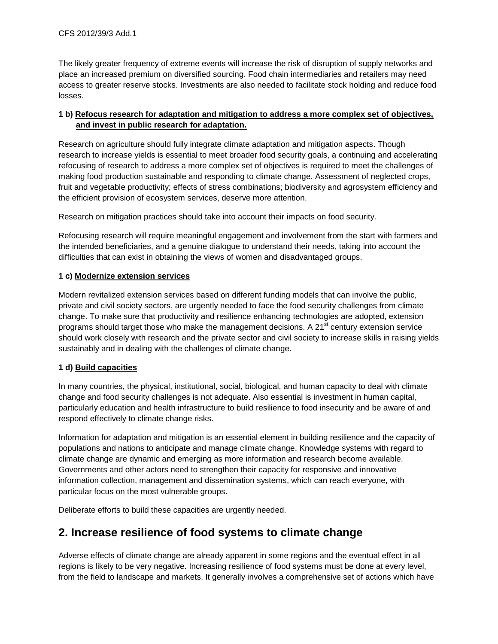The likely greater frequency of extreme events will increase the risk of disruption of supply networks and place an increased premium on diversified sourcing. Food chain intermediaries and retailers may need access to greater reserve stocks. Investments are also needed to facilitate stock holding and reduce food losses.

#### **1 b) Refocus research for adaptation and mitigation to address a more complex set of objectives, and invest in public research for adaptation.**

Research on agriculture should fully integrate climate adaptation and mitigation aspects. Though research to increase yields is essential to meet broader food security goals, a continuing and accelerating refocusing of research to address a more complex set of objectives is required to meet the challenges of making food production sustainable and responding to climate change. Assessment of neglected crops, fruit and vegetable productivity; effects of stress combinations; biodiversity and agrosystem efficiency and the efficient provision of ecosystem services, deserve more attention.

Research on mitigation practices should take into account their impacts on food security.

Refocusing research will require meaningful engagement and involvement from the start with farmers and the intended beneficiaries, and a genuine dialogue to understand their needs, taking into account the difficulties that can exist in obtaining the views of women and disadvantaged groups.

#### **1 c) Modernize extension services**

Modern revitalized extension services based on different funding models that can involve the public, private and civil society sectors, are urgently needed to face the food security challenges from climate change. To make sure that productivity and resilience enhancing technologies are adopted, extension programs should target those who make the management decisions. A  $21<sup>st</sup>$  century extension service should work closely with research and the private sector and civil society to increase skills in raising yields sustainably and in dealing with the challenges of climate change.

#### **1 d) Build capacities**

In many countries, the physical, institutional, social, biological, and human capacity to deal with climate change and food security challenges is not adequate. Also essential is investment in human capital, particularly education and health infrastructure to build resilience to food insecurity and be aware of and respond effectively to climate change risks.

Information for adaptation and mitigation is an essential element in building resilience and the capacity of populations and nations to anticipate and manage climate change. Knowledge systems with regard to climate change are dynamic and emerging as more information and research become available. Governments and other actors need to strengthen their capacity for responsive and innovative information collection, management and dissemination systems, which can reach everyone, with particular focus on the most vulnerable groups.

Deliberate efforts to build these capacities are urgently needed.

# **2. Increase resilience of food systems to climate change**

Adverse effects of climate change are already apparent in some regions and the eventual effect in all regions is likely to be very negative. Increasing resilience of food systems must be done at every level, from the field to landscape and markets. It generally involves a comprehensive set of actions which have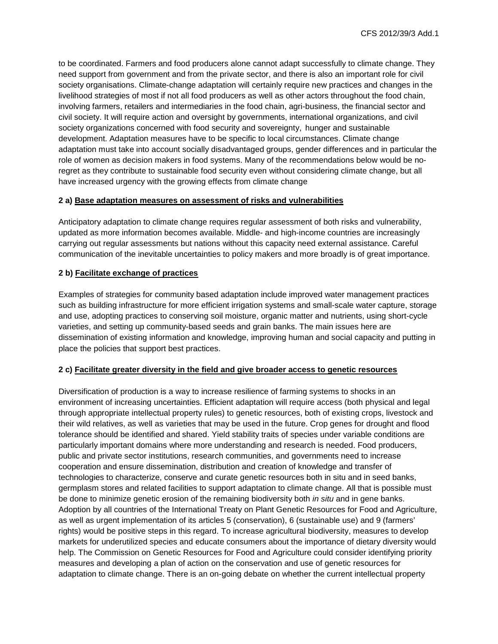to be coordinated. Farmers and food producers alone cannot adapt successfully to climate change. They need support from government and from the private sector, and there is also an important role for civil society organisations. Climate-change adaptation will certainly require new practices and changes in the livelihood strategies of most if not all food producers as well as other actors throughout the food chain, involving farmers, retailers and intermediaries in the food chain, agri-business, the financial sector and civil society. It will require action and oversight by governments, international organizations, and civil society organizations concerned with food security and sovereignty, hunger and sustainable development. Adaptation measures have to be specific to local circumstances. Climate change adaptation must take into account socially disadvantaged groups, gender differences and in particular the role of women as decision makers in food systems. Many of the recommendations below would be noregret as they contribute to sustainable food security even without considering climate change, but all have increased urgency with the growing effects from climate change

#### **2 a) Base adaptation measures on assessment of risks and vulnerabilities**

Anticipatory adaptation to climate change requires regular assessment of both risks and vulnerability, updated as more information becomes available. Middle- and high-income countries are increasingly carrying out regular assessments but nations without this capacity need external assistance. Careful communication of the inevitable uncertainties to policy makers and more broadly is of great importance.

#### **2 b) Facilitate exchange of practices**

Examples of strategies for community based adaptation include improved water management practices such as building infrastructure for more efficient irrigation systems and small-scale water capture, storage and use, adopting practices to conserving soil moisture, organic matter and nutrients, using short-cycle varieties, and setting up community-based seeds and grain banks. The main issues here are dissemination of existing information and knowledge, improving human and social capacity and putting in place the policies that support best practices.

#### **2 c) Facilitate greater diversity in the field and give broader access to genetic resources**

Diversification of production is a way to increase resilience of farming systems to shocks in an environment of increasing uncertainties. Efficient adaptation will require access (both physical and legal through appropriate intellectual property rules) to genetic resources, both of existing crops, livestock and their wild relatives, as well as varieties that may be used in the future. Crop genes for drought and flood tolerance should be identified and shared. Yield stability traits of species under variable conditions are particularly important domains where more understanding and research is needed. Food producers, public and private sector institutions, research communities, and governments need to increase cooperation and ensure dissemination, distribution and creation of knowledge and transfer of technologies to characterize, conserve and curate genetic resources both in situ and in seed banks, germplasm stores and related facilities to support adaptation to climate change. All that is possible must be done to minimize genetic erosion of the remaining biodiversity both *in situ* and in gene banks. Adoption by all countries of the International Treaty on Plant Genetic Resources for Food and Agriculture, as well as urgent implementation of its articles 5 (conservation), 6 (sustainable use) and 9 (farmers' rights) would be positive steps in this regard. To increase agricultural biodiversity, measures to develop markets for underutilized species and educate consumers about the importance of dietary diversity would help. The Commission on Genetic Resources for Food and Agriculture could consider identifying priority measures and developing a plan of action on the conservation and use of genetic resources for adaptation to climate change. There is an on-going debate on whether the current intellectual property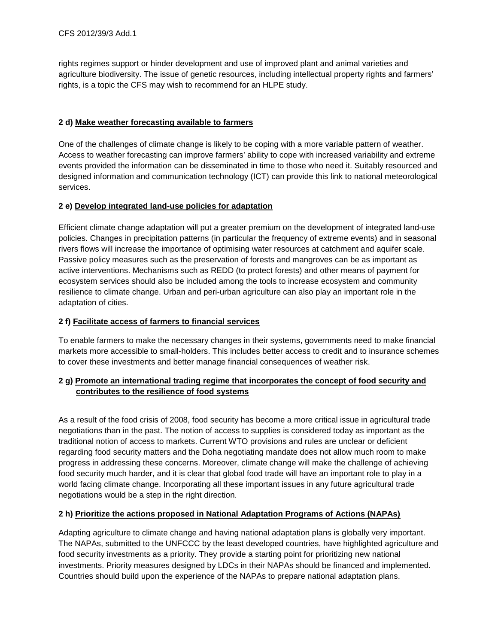rights regimes support or hinder development and use of improved plant and animal varieties and agriculture biodiversity. The issue of genetic resources, including intellectual property rights and farmers' rights, is a topic the CFS may wish to recommend for an HLPE study.

#### **2 d) Make weather forecasting available to farmers**

One of the challenges of climate change is likely to be coping with a more variable pattern of weather. Access to weather forecasting can improve farmers' ability to cope with increased variability and extreme events provided the information can be disseminated in time to those who need it. Suitably resourced and designed information and communication technology (ICT) can provide this link to national meteorological services.

#### **2 e) Develop integrated land-use policies for adaptation**

Efficient climate change adaptation will put a greater premium on the development of integrated land-use policies. Changes in precipitation patterns (in particular the frequency of extreme events) and in seasonal rivers flows will increase the importance of optimising water resources at catchment and aquifer scale. Passive policy measures such as the preservation of forests and mangroves can be as important as active interventions. Mechanisms such as REDD (to protect forests) and other means of payment for ecosystem services should also be included among the tools to increase ecosystem and community resilience to climate change. Urban and peri-urban agriculture can also play an important role in the adaptation of cities.

#### **2 f) Facilitate access of farmers to financial services**

To enable farmers to make the necessary changes in their systems, governments need to make financial markets more accessible to small-holders. This includes better access to credit and to insurance schemes to cover these investments and better manage financial consequences of weather risk.

#### **2 g) Promote an international trading regime that incorporates the concept of food security and contributes to the resilience of food systems**

As a result of the food crisis of 2008, food security has become a more critical issue in agricultural trade negotiations than in the past. The notion of access to supplies is considered today as important as the traditional notion of access to markets. Current WTO provisions and rules are unclear or deficient regarding food security matters and the Doha negotiating mandate does not allow much room to make progress in addressing these concerns. Moreover, climate change will make the challenge of achieving food security much harder, and it is clear that global food trade will have an important role to play in a world facing climate change. Incorporating all these important issues in any future agricultural trade negotiations would be a step in the right direction.

#### **2 h) Prioritize the actions proposed in National Adaptation Programs of Actions (NAPAs)**

Adapting agriculture to climate change and having national adaptation plans is globally very important. The NAPAs, submitted to the UNFCCC by the least developed countries, have highlighted agriculture and food security investments as a priority. They provide a starting point for prioritizing new national investments. Priority measures designed by LDCs in their NAPAs should be financed and implemented. Countries should build upon the experience of the NAPAs to prepare national adaptation plans.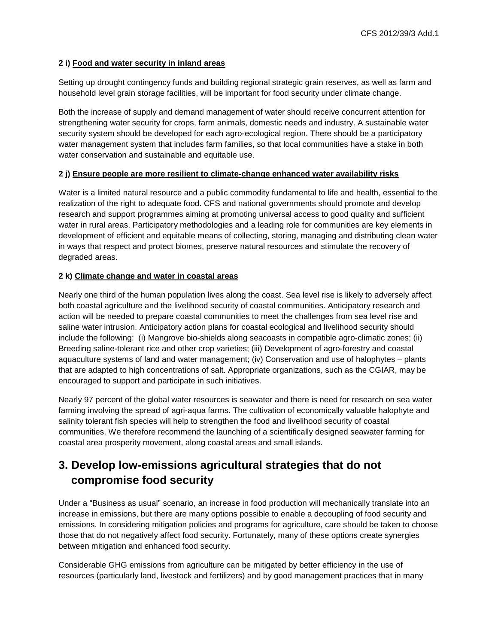#### **2 i) Food and water security in inland areas**

Setting up drought contingency funds and building regional strategic grain reserves, as well as farm and household level grain storage facilities, will be important for food security under climate change.

Both the increase of supply and demand management of water should receive concurrent attention for strengthening water security for crops, farm animals, domestic needs and industry. A sustainable water security system should be developed for each agro-ecological region. There should be a participatory water management system that includes farm families, so that local communities have a stake in both water conservation and sustainable and equitable use.

#### **2 j) Ensure people are more resilient to climate-change enhanced water availability risks**

Water is a limited natural resource and a public commodity fundamental to life and health, essential to the realization of the right to adequate food. CFS and national governments should promote and develop research and support programmes aiming at promoting universal access to good quality and sufficient water in rural areas. Participatory methodologies and a leading role for communities are key elements in development of efficient and equitable means of collecting, storing, managing and distributing clean water in ways that respect and protect biomes, preserve natural resources and stimulate the recovery of degraded areas.

#### **2 k) Climate change and water in coastal areas**

Nearly one third of the human population lives along the coast. Sea level rise is likely to adversely affect both coastal agriculture and the livelihood security of coastal communities. Anticipatory research and action will be needed to prepare coastal communities to meet the challenges from sea level rise and saline water intrusion. Anticipatory action plans for coastal ecological and livelihood security should include the following: (i) Mangrove bio-shields along seacoasts in compatible agro-climatic zones; (ii) Breeding saline-tolerant rice and other crop varieties; (iii) Development of agro-forestry and coastal aquaculture systems of land and water management; (iv) Conservation and use of halophytes – plants that are adapted to high concentrations of salt. Appropriate organizations, such as the CGIAR, may be encouraged to support and participate in such initiatives.

Nearly 97 percent of the global water resources is seawater and there is need for research on sea water farming involving the spread of agri-aqua farms. The cultivation of economically valuable halophyte and salinity tolerant fish species will help to strengthen the food and livelihood security of coastal communities. We therefore recommend the launching of a scientifically designed seawater farming for coastal area prosperity movement, along coastal areas and small islands.

# **3. Develop low-emissions agricultural strategies that do not compromise food security**

Under a "Business as usual" scenario, an increase in food production will mechanically translate into an increase in emissions, but there are many options possible to enable a decoupling of food security and emissions. In considering mitigation policies and programs for agriculture, care should be taken to choose those that do not negatively affect food security. Fortunately, many of these options create synergies between mitigation and enhanced food security.

Considerable GHG emissions from agriculture can be mitigated by better efficiency in the use of resources (particularly land, livestock and fertilizers) and by good management practices that in many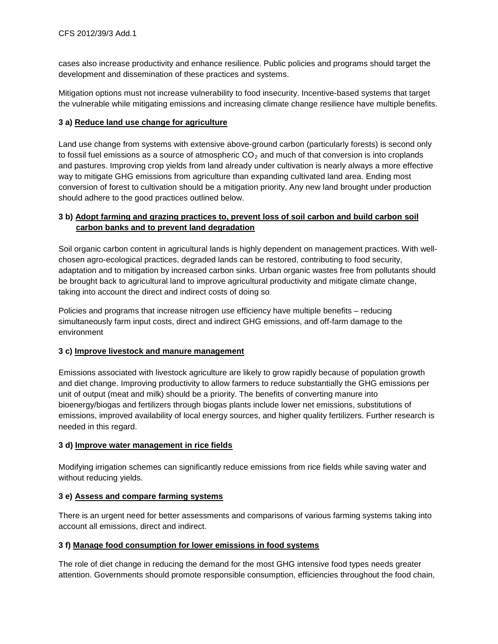cases also increase productivity and enhance resilience. Public policies and programs should target the development and dissemination of these practices and systems.

Mitigation options must not increase vulnerability to food insecurity. Incentive-based systems that target the vulnerable while mitigating emissions and increasing climate change resilience have multiple benefits.

#### **3 a) Reduce land use change for agriculture**

Land use change from systems with extensive above-ground carbon (particularly forests) is second only to fossil fuel emissions as a source of atmospheric  $CO<sub>2</sub>$  and much of that conversion is into croplands and pastures. Improving crop yields from land already under cultivation is nearly always a more effective way to mitigate GHG emissions from agriculture than expanding cultivated land area. Ending most conversion of forest to cultivation should be a mitigation priority. Any new land brought under production should adhere to the good practices outlined below.

#### **3 b) Adopt farming and grazing practices to, prevent loss of soil carbon and build carbon soil carbon banks and to prevent land degradation**

Soil organic carbon content in agricultural lands is highly dependent on management practices. With wellchosen agro-ecological practices, degraded lands can be restored, contributing to food security, adaptation and to mitigation by increased carbon sinks. Urban organic wastes free from pollutants should be brought back to agricultural land to improve agricultural productivity and mitigate climate change, taking into account the direct and indirect costs of doing so.

Policies and programs that increase nitrogen use efficiency have multiple benefits – reducing simultaneously farm input costs, direct and indirect GHG emissions, and off-farm damage to the environment

#### **3 c) Improve livestock and manure management**

Emissions associated with livestock agriculture are likely to grow rapidly because of population growth and diet change. Improving productivity to allow farmers to reduce substantially the GHG emissions per unit of output (meat and milk) should be a priority. The benefits of converting manure into bioenergy/biogas and fertilizers through biogas plants include lower net emissions, substitutions of emissions, improved availability of local energy sources, and higher quality fertilizers. Further research is needed in this regard.

#### **3 d) Improve water management in rice fields**

Modifying irrigation schemes can significantly reduce emissions from rice fields while saving water and without reducing yields.

#### **3 e) Assess and compare farming systems**

There is an urgent need for better assessments and comparisons of various farming systems taking into account all emissions, direct and indirect.

#### **3 f) Manage food consumption for lower emissions in food systems**

The role of diet change in reducing the demand for the most GHG intensive food types needs greater attention. Governments should promote responsible consumption, efficiencies throughout the food chain,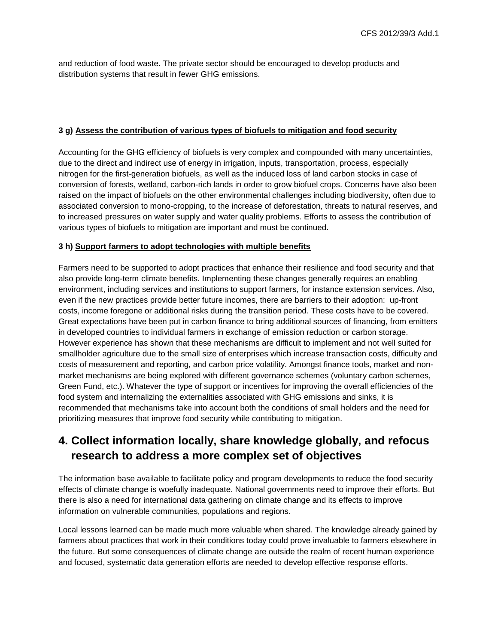and reduction of food waste. The private sector should be encouraged to develop products and distribution systems that result in fewer GHG emissions.

#### **3 g) Assess the contribution of various types of biofuels to mitigation and food security**

Accounting for the GHG efficiency of biofuels is very complex and compounded with many uncertainties, due to the direct and indirect use of energy in irrigation, inputs, transportation, process, especially nitrogen for the first-generation biofuels, as well as the induced loss of land carbon stocks in case of conversion of forests, wetland, carbon-rich lands in order to grow biofuel crops. Concerns have also been raised on the impact of biofuels on the other environmental challenges including biodiversity, often due to associated conversion to mono-cropping, to the increase of deforestation, threats to natural reserves, and to increased pressures on water supply and water quality problems. Efforts to assess the contribution of various types of biofuels to mitigation are important and must be continued.

#### **3 h) Support farmers to adopt technologies with multiple benefits**

Farmers need to be supported to adopt practices that enhance their resilience and food security and that also provide long-term climate benefits. Implementing these changes generally requires an enabling environment, including services and institutions to support farmers, for instance extension services. Also, even if the new practices provide better future incomes, there are barriers to their adoption: up-front costs, income foregone or additional risks during the transition period. These costs have to be covered. Great expectations have been put in carbon finance to bring additional sources of financing, from emitters in developed countries to individual farmers in exchange of emission reduction or carbon storage. However experience has shown that these mechanisms are difficult to implement and not well suited for smallholder agriculture due to the small size of enterprises which increase transaction costs, difficulty and costs of measurement and reporting, and carbon price volatility. Amongst finance tools, market and nonmarket mechanisms are being explored with different governance schemes (voluntary carbon schemes, Green Fund, etc.). Whatever the type of support or incentives for improving the overall efficiencies of the food system and internalizing the externalities associated with GHG emissions and sinks, it is recommended that mechanisms take into account both the conditions of small holders and the need for prioritizing measures that improve food security while contributing to mitigation.

# **4. Collect information locally, share knowledge globally, and refocus research to address a more complex set of objectives**

The information base available to facilitate policy and program developments to reduce the food security effects of climate change is woefully inadequate. National governments need to improve their efforts. But there is also a need for international data gathering on climate change and its effects to improve information on vulnerable communities, populations and regions.

Local lessons learned can be made much more valuable when shared. The knowledge already gained by farmers about practices that work in their conditions today could prove invaluable to farmers elsewhere in the future. But some consequences of climate change are outside the realm of recent human experience and focused, systematic data generation efforts are needed to develop effective response efforts.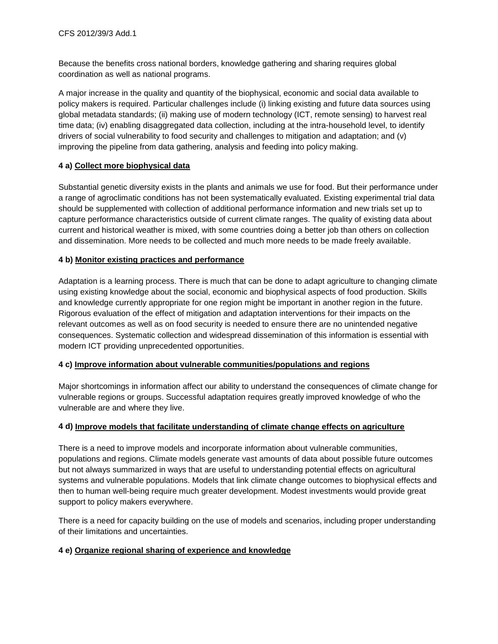Because the benefits cross national borders, knowledge gathering and sharing requires global coordination as well as national programs.

A major increase in the quality and quantity of the biophysical, economic and social data available to policy makers is required. Particular challenges include (i) linking existing and future data sources using global metadata standards; (ii) making use of modern technology (ICT, remote sensing) to harvest real time data; (iv) enabling disaggregated data collection, including at the intra-household level, to identify drivers of social vulnerability to food security and challenges to mitigation and adaptation; and (v) improving the pipeline from data gathering, analysis and feeding into policy making.

#### **4 a) Collect more biophysical data**

Substantial genetic diversity exists in the plants and animals we use for food. But their performance under a range of agroclimatic conditions has not been systematically evaluated. Existing experimental trial data should be supplemented with collection of additional performance information and new trials set up to capture performance characteristics outside of current climate ranges. The quality of existing data about current and historical weather is mixed, with some countries doing a better job than others on collection and dissemination. More needs to be collected and much more needs to be made freely available.

#### **4 b) Monitor existing practices and performance**

Adaptation is a learning process. There is much that can be done to adapt agriculture to changing climate using existing knowledge about the social, economic and biophysical aspects of food production. Skills and knowledge currently appropriate for one region might be important in another region in the future. Rigorous evaluation of the effect of mitigation and adaptation interventions for their impacts on the relevant outcomes as well as on food security is needed to ensure there are no unintended negative consequences. Systematic collection and widespread dissemination of this information is essential with modern ICT providing unprecedented opportunities.

#### **4 c) Improve information about vulnerable communities/populations and regions**

Major shortcomings in information affect our ability to understand the consequences of climate change for vulnerable regions or groups. Successful adaptation requires greatly improved knowledge of who the vulnerable are and where they live.

#### **4 d) Improve models that facilitate understanding of climate change effects on agriculture**

There is a need to improve models and incorporate information about vulnerable communities, populations and regions. Climate models generate vast amounts of data about possible future outcomes but not always summarized in ways that are useful to understanding potential effects on agricultural systems and vulnerable populations. Models that link climate change outcomes to biophysical effects and then to human well-being require much greater development. Modest investments would provide great support to policy makers everywhere.

There is a need for capacity building on the use of models and scenarios, including proper understanding of their limitations and uncertainties.

#### **4 e) Organize regional sharing of experience and knowledge**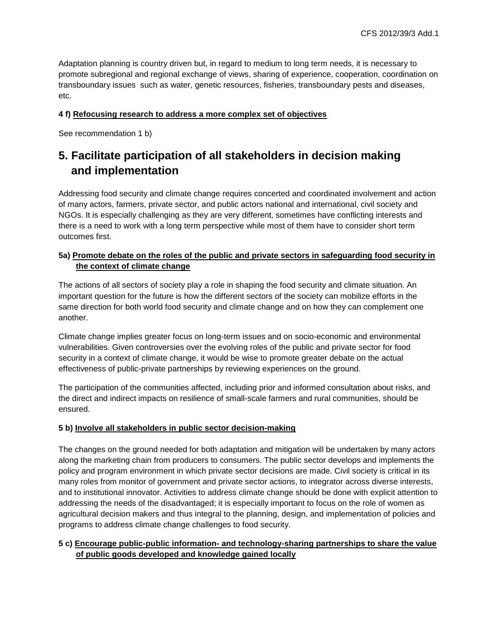Adaptation planning is country driven but, in regard to medium to long term needs, it is necessary to promote subregional and regional exchange of views, sharing of experience, cooperation, coordination on transboundary issues such as water, genetic resources, fisheries, transboundary pests and diseases, etc.

#### **4 f) Refocusing research to address a more complex set of objectives**

See recommendation 1 b)

# **5. Facilitate participation of all stakeholders in decision making and implementation**

Addressing food security and climate change requires concerted and coordinated involvement and action of many actors, farmers, private sector, and public actors national and international, civil society and NGOs. It is especially challenging as they are very different, sometimes have conflicting interests and there is a need to work with a long term perspective while most of them have to consider short term outcomes first.

#### **5a) Promote debate on the roles of the public and private sectors in safeguarding food security in the context of climate change**

The actions of all sectors of society play a role in shaping the food security and climate situation. An important question for the future is how the different sectors of the society can mobilize efforts in the same direction for both world food security and climate change and on how they can complement one another.

Climate change implies greater focus on long-term issues and on socio-economic and environmental vulnerabilities. Given controversies over the evolving roles of the public and private sector for food security in a context of climate change, it would be wise to promote greater debate on the actual effectiveness of public-private partnerships by reviewing experiences on the ground.

The participation of the communities affected, including prior and informed consultation about risks, and the direct and indirect impacts on resilience of small-scale farmers and rural communities, should be ensured.

#### **5 b) Involve all stakeholders in public sector decision-making**

The changes on the ground needed for both adaptation and mitigation will be undertaken by many actors along the marketing chain from producers to consumers. The public sector develops and implements the policy and program environment in which private sector decisions are made. Civil society is critical in its many roles from monitor of government and private sector actions, to integrator across diverse interests, and to institutional innovator. Activities to address climate change should be done with explicit attention to addressing the needs of the disadvantaged; it is especially important to focus on the role of women as agricultural decision makers and thus integral to the planning, design, and implementation of policies and programs to address climate change challenges to food security.

#### **5 c) Encourage public-public information- and technology-sharing partnerships to share the value of public goods developed and knowledge gained locally**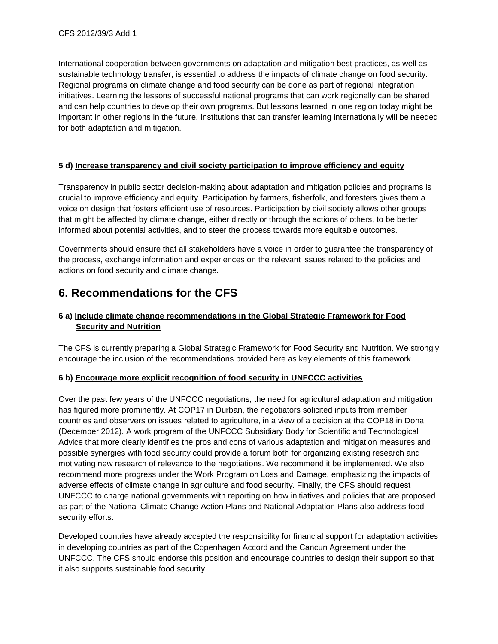International cooperation between governments on adaptation and mitigation best practices, as well as sustainable technology transfer, is essential to address the impacts of climate change on food security. Regional programs on climate change and food security can be done as part of regional integration initiatives. Learning the lessons of successful national programs that can work regionally can be shared and can help countries to develop their own programs. But lessons learned in one region today might be important in other regions in the future. Institutions that can transfer learning internationally will be needed for both adaptation and mitigation.

#### **5 d) Increase transparency and civil society participation to improve efficiency and equity**

Transparency in public sector decision-making about adaptation and mitigation policies and programs is crucial to improve efficiency and equity. Participation by farmers, fisherfolk, and foresters gives them a voice on design that fosters efficient use of resources. Participation by civil society allows other groups that might be affected by climate change, either directly or through the actions of others, to be better informed about potential activities, and to steer the process towards more equitable outcomes.

Governments should ensure that all stakeholders have a voice in order to guarantee the transparency of the process, exchange information and experiences on the relevant issues related to the policies and actions on food security and climate change.

### **6. Recommendations for the CFS**

#### **6 a) Include climate change recommendations in the Global Strategic Framework for Food Security and Nutrition**

The CFS is currently preparing a Global Strategic Framework for Food Security and Nutrition. We strongly encourage the inclusion of the recommendations provided here as key elements of this framework.

#### **6 b) Encourage more explicit recognition of food security in UNFCCC activities**

Over the past few years of the UNFCCC negotiations, the need for agricultural adaptation and mitigation has figured more prominently. At COP17 in Durban, the negotiators solicited inputs from member countries and observers on issues related to agriculture, in a view of a decision at the COP18 in Doha (December 2012). A work program of the UNFCCC Subsidiary Body for Scientific and Technological Advice that more clearly identifies the pros and cons of various adaptation and mitigation measures and possible synergies with food security could provide a forum both for organizing existing research and motivating new research of relevance to the negotiations. We recommend it be implemented. We also recommend more progress under the Work Program on Loss and Damage, emphasizing the impacts of adverse effects of climate change in agriculture and food security. Finally, the CFS should request UNFCCC to charge national governments with reporting on how initiatives and policies that are proposed as part of the National Climate Change Action Plans and National Adaptation Plans also address food security efforts.

Developed countries have already accepted the responsibility for financial support for adaptation activities in developing countries as part of the Copenhagen Accord and the Cancun Agreement under the UNFCCC. The CFS should endorse this position and encourage countries to design their support so that it also supports sustainable food security.